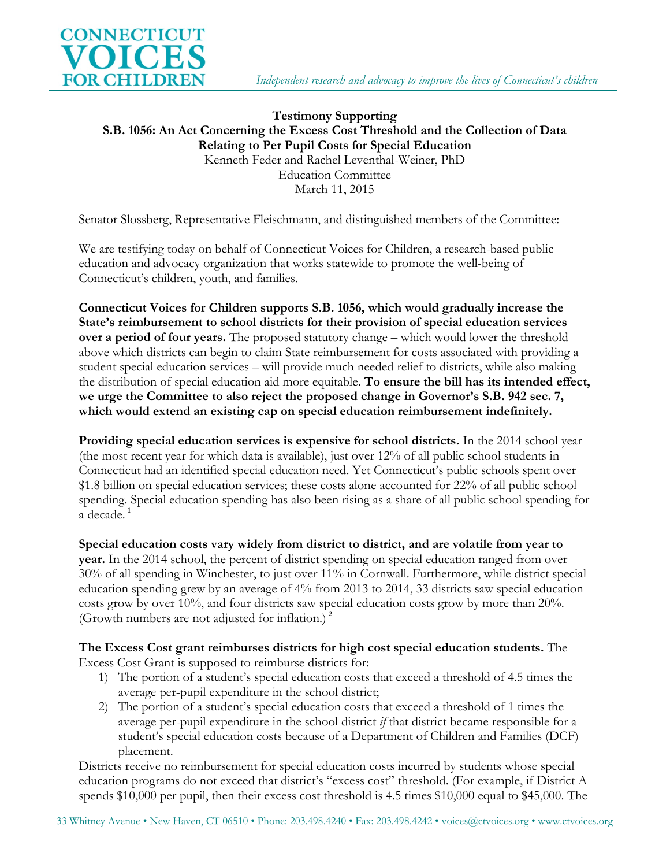

### **Testimony Supporting S.B. 1056: An Act Concerning the Excess Cost Threshold and the Collection of Data Relating to Per Pupil Costs for Special Education** Kenneth Feder and Rachel Leventhal-Weiner, PhD Education Committee March 11, 2015

Senator Slossberg, Representative Fleischmann, and distinguished members of the Committee:

We are testifying today on behalf of Connecticut Voices for Children, a research-based public education and advocacy organization that works statewide to promote the well-being of Connecticut's children, youth, and families.

**Connecticut Voices for Children supports S.B. 1056, which would gradually increase the State's reimbursement to school districts for their provision of special education services over a period of four years.** The proposed statutory change – which would lower the threshold above which districts can begin to claim State reimbursement for costs associated with providing a student special education services – will provide much needed relief to districts, while also making the distribution of special education aid more equitable. **To ensure the bill has its intended effect, we urge the Committee to also reject the proposed change in Governor's S.B. 942 sec. 7, which would extend an existing cap on special education reimbursement indefinitely.**

**Providing special education services is expensive for school districts.** In the 2014 school year (the most recent year for which data is available), just over 12% of all public school students in Connecticut had an identified special education need. Yet Connecticut's public schools spent over \$1.8 billion on special education services; these costs alone accounted for 22% of all public school spending. Special education spending has also been rising as a share of all public school spending for a decade. **[1](#page-2-0)**

**Special education costs vary widely from district to district, and are volatile from year to year.** In the 2014 school, the percent of district spending on special education ranged from over 30% of all spending in Winchester, to just over 11% in Cornwall. Furthermore, while district special education spending grew by an average of 4% from 2013 to 2014, 33 districts saw special education costs grow by over 10%, and four districts saw special education costs grow by more than 20%. (Growth numbers are not adjusted for inflation.) **[2](#page-2-1)**

# **The Excess Cost grant reimburses districts for high cost special education students.** The

Excess Cost Grant is supposed to reimburse districts for:

- 1) The portion of a student's special education costs that exceed a threshold of 4.5 times the average per-pupil expenditure in the school district;
- 2) The portion of a student's special education costs that exceed a threshold of 1 times the average per-pupil expenditure in the school district *if* that district became responsible for a student's special education costs because of a Department of Children and Families (DCF) placement.

Districts receive no reimbursement for special education costs incurred by students whose special education programs do not exceed that district's "excess cost" threshold. (For example, if District A spends \$10,000 per pupil, then their excess cost threshold is 4.5 times \$10,000 equal to \$45,000. The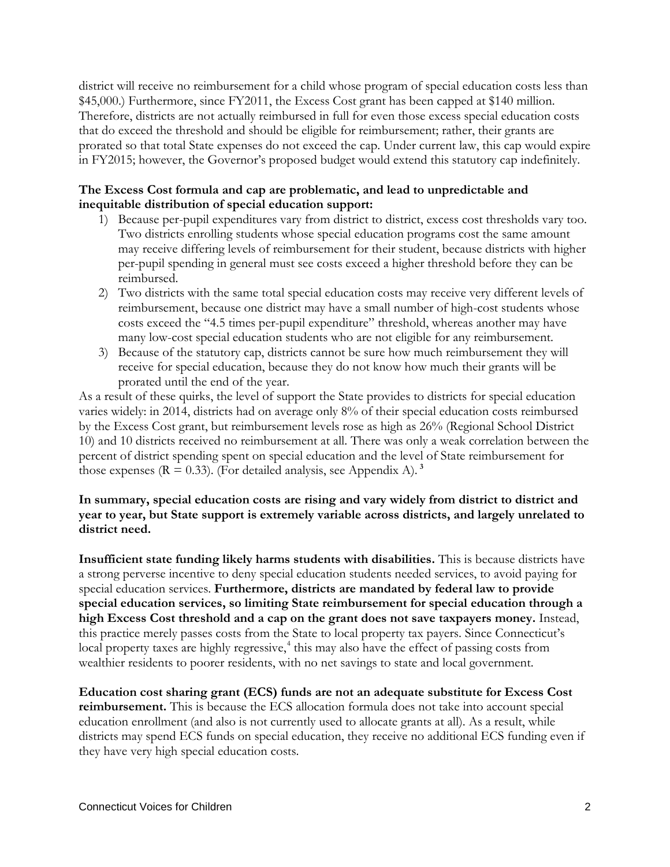district will receive no reimbursement for a child whose program of special education costs less than \$45,000.) Furthermore, since FY2011, the Excess Cost grant has been capped at \$140 million. Therefore, districts are not actually reimbursed in full for even those excess special education costs that do exceed the threshold and should be eligible for reimbursement; rather, their grants are prorated so that total State expenses do not exceed the cap. Under current law, this cap would expire in FY2015; however, the Governor's proposed budget would extend this statutory cap indefinitely.

#### **The Excess Cost formula and cap are problematic, and lead to unpredictable and inequitable distribution of special education support:**

- 1) Because per-pupil expenditures vary from district to district, excess cost thresholds vary too. Two districts enrolling students whose special education programs cost the same amount may receive differing levels of reimbursement for their student, because districts with higher per-pupil spending in general must see costs exceed a higher threshold before they can be reimbursed.
- 2) Two districts with the same total special education costs may receive very different levels of reimbursement, because one district may have a small number of high-cost students whose costs exceed the "4.5 times per-pupil expenditure" threshold, whereas another may have many low-cost special education students who are not eligible for any reimbursement.
- 3) Because of the statutory cap, districts cannot be sure how much reimbursement they will receive for special education, because they do not know how much their grants will be prorated until the end of the year.

As a result of these quirks, the level of support the State provides to districts for special education varies widely: in 2014, districts had on average only 8% of their special education costs reimbursed by the Excess Cost grant, but reimbursement levels rose as high as 26% (Regional School District 10) and 10 districts received no reimbursement at all. There was only a weak correlation between the percent of district spending spent on special education and the level of State reimbursement for those expenses  $(R = 0.33)$  $(R = 0.33)$  $(R = 0.33)$ . (For detailed analysis, see Appendix A).<sup>3</sup>

#### **In summary, special education costs are rising and vary widely from district to district and year to year, but State support is extremely variable across districts, and largely unrelated to district need.**

**Insufficient state funding likely harms students with disabilities.** This is because districts have a strong perverse incentive to deny special education students needed services, to avoid paying for special education services. **Furthermore, districts are mandated by federal law to provide special education services, so limiting State reimbursement for special education through a high Excess Cost threshold and a cap on the grant does not save taxpayers money.** Instead, this practice merely passes costs from the State to local property tax payers. Since Connecticut's local property taxes are highly regressive,<sup>[4](#page-3-1)</sup> this may also have the effect of passing costs from wealthier residents to poorer residents, with no net savings to state and local government.

**Education cost sharing grant (ECS) funds are not an adequate substitute for Excess Cost reimbursement.** This is because the ECS allocation formula does not take into account special education enrollment (and also is not currently used to allocate grants at all). As a result, while districts may spend ECS funds on special education, they receive no additional ECS funding even if they have very high special education costs.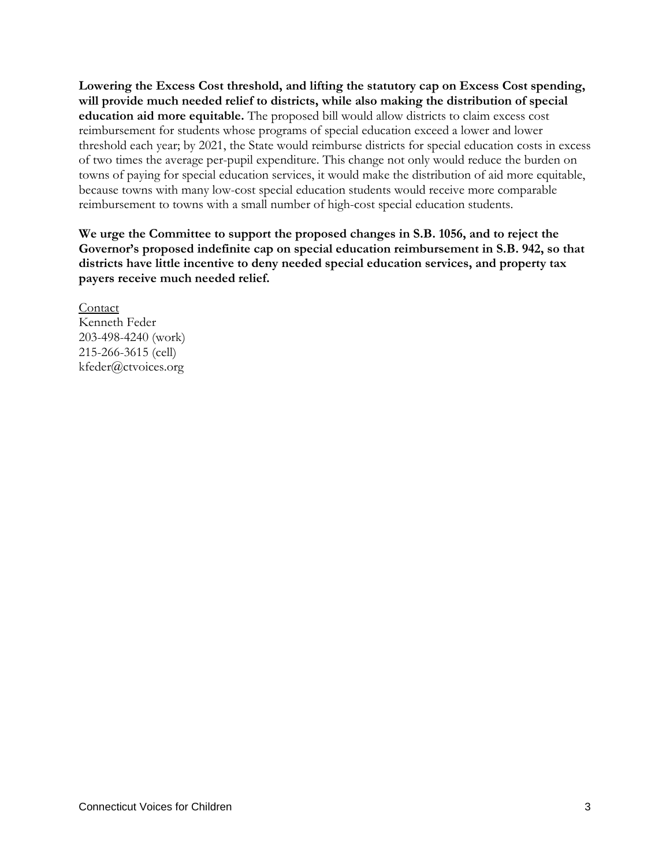**Lowering the Excess Cost threshold, and lifting the statutory cap on Excess Cost spending, will provide much needed relief to districts, while also making the distribution of special education aid more equitable.** The proposed bill would allow districts to claim excess cost reimbursement for students whose programs of special education exceed a lower and lower threshold each year; by 2021, the State would reimburse districts for special education costs in excess of two times the average per-pupil expenditure. This change not only would reduce the burden on towns of paying for special education services, it would make the distribution of aid more equitable, because towns with many low-cost special education students would receive more comparable reimbursement to towns with a small number of high-cost special education students.

**We urge the Committee to support the proposed changes in S.B. 1056, and to reject the Governor's proposed indefinite cap on special education reimbursement in S.B. 942, so that districts have little incentive to deny needed special education services, and property tax payers receive much needed relief.**

<span id="page-2-1"></span><span id="page-2-0"></span>Contact Kenneth Feder 203-498-4240 (work) 215-266-3615 (cell) kfeder@ctvoices.org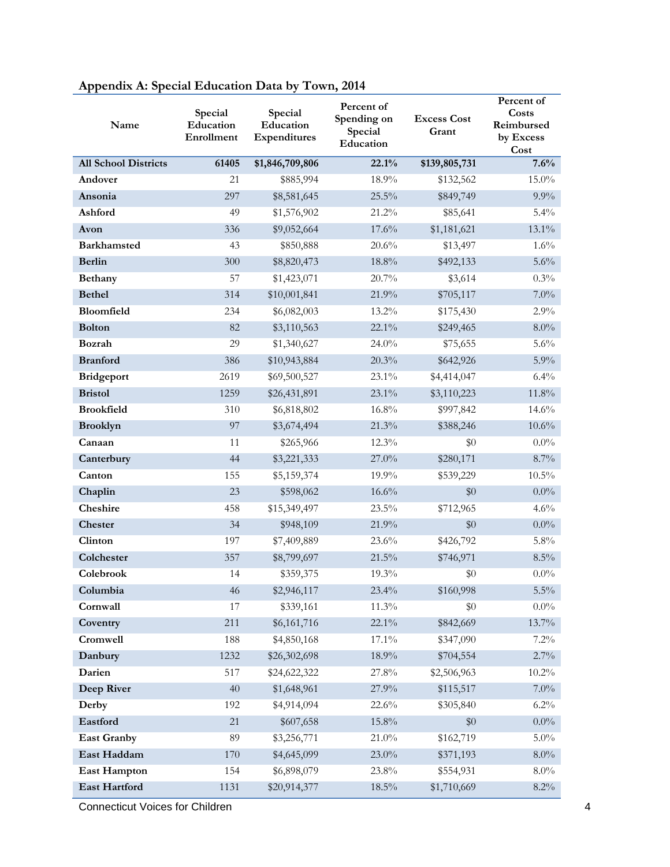<span id="page-3-1"></span><span id="page-3-0"></span>

| Name                        | Special<br>Education<br>Enrollment | Special<br>Education<br>Expenditures | Percent of<br>Spending on<br>Special<br>Education | <b>Excess Cost</b><br>Grant | Percent of<br>Costs<br>Reimbursed<br>by Excess<br>Cost |
|-----------------------------|------------------------------------|--------------------------------------|---------------------------------------------------|-----------------------------|--------------------------------------------------------|
| <b>All School Districts</b> | 61405                              | \$1,846,709,806                      | 22.1%                                             | \$139,805,731               | 7.6%                                                   |
| Andover                     | 21                                 | \$885,994                            | 18.9%                                             | \$132,562                   | 15.0%                                                  |
| Ansonia                     | 297                                | \$8,581,645                          | 25.5%                                             | \$849,749                   | $9.9\%$                                                |
| Ashford                     | 49                                 | \$1,576,902                          | 21.2%                                             | \$85,641                    | $5.4\%$                                                |
| Avon                        | 336                                | \$9,052,664                          | 17.6%                                             | \$1,181,621                 | 13.1%                                                  |
| <b>Barkhamsted</b>          | 43                                 | \$850,888                            | 20.6%                                             | \$13,497                    | 1.6%                                                   |
| <b>Berlin</b>               | 300                                | \$8,820,473                          | $18.8\%$                                          | \$492,133                   | 5.6%                                                   |
| Bethany                     | 57                                 | \$1,423,071                          | 20.7%                                             | \$3,614                     | 0.3%                                                   |
| <b>Bethel</b>               | 314                                | \$10,001,841                         | 21.9%                                             | \$705,117                   | $7.0\%$                                                |
| Bloomfield                  | 234                                | \$6,082,003                          | 13.2%                                             | \$175,430                   | 2.9%                                                   |
| <b>Bolton</b>               | 82                                 | \$3,110,563                          | 22.1%                                             | \$249,465                   | $8.0\%$                                                |
| Bozrah                      | 29                                 | \$1,340,627                          | 24.0%                                             | \$75,655                    | 5.6%                                                   |
| <b>Branford</b>             | 386                                | \$10,943,884                         | 20.3%                                             | \$642,926                   | 5.9%                                                   |
| <b>Bridgeport</b>           | 2619                               | \$69,500,527                         | 23.1%                                             | \$4,414,047                 | 6.4%                                                   |
| <b>Bristol</b>              | 1259                               | \$26,431,891                         | 23.1%                                             | \$3,110,223                 | 11.8%                                                  |
| <b>Brookfield</b>           | 310                                | \$6,818,802                          | 16.8%                                             | \$997,842                   | 14.6%                                                  |
| <b>Brooklyn</b>             | 97                                 | \$3,674,494                          | 21.3%                                             | \$388,246                   | 10.6%                                                  |
| Canaan                      | 11                                 | \$265,966                            | 12.3%                                             | \$0                         | $0.0\%$                                                |
| Canterbury                  | 44                                 | \$3,221,333                          | $27.0\%$                                          | \$280,171                   | 8.7%                                                   |
| Canton                      | 155                                | \$5,159,374                          | 19.9%                                             | \$539,229                   | $10.5\%$                                               |
| Chaplin                     | 23                                 | \$598,062                            | 16.6%                                             | \$0                         | $0.0\%$                                                |
| Cheshire                    | 458                                | \$15,349,497                         | 23.5%                                             | \$712,965                   | 4.6%                                                   |
| Chester                     | 34                                 | \$948,109                            | 21.9%                                             | \$0                         | $0.0\%$                                                |
| Clinton                     | 197                                | \$7,409,889                          | 23.6%                                             | \$426,792                   | 5.8%                                                   |
| Colchester                  | 357                                | \$8,799,697                          | 21.5%                                             | \$746,971                   | 8.5%                                                   |
| Colebrook                   | 14                                 | \$359,375                            | 19.3%                                             | \$0                         | $0.0\%$                                                |
| Columbia                    | 46                                 | \$2,946,117                          | 23.4%                                             | \$160,998                   | $5.5\%$                                                |
| Cornwall                    | 17                                 | \$339,161                            | $11.3\%$                                          | $\$0$                       | $0.0\%$                                                |
| Coventry                    | 211                                | \$6,161,716                          | 22.1%                                             | \$842,669                   | 13.7%                                                  |
| Cromwell                    | 188                                | \$4,850,168                          | 17.1%                                             | \$347,090                   | $7.2\%$                                                |
| Danbury                     | 1232                               | \$26,302,698                         | 18.9%                                             | \$704,554                   | 2.7%                                                   |
| Darien                      | 517                                | \$24,622,322                         | 27.8%                                             | \$2,506,963                 | $10.2\%$                                               |
| Deep River                  | 40                                 | \$1,648,961                          | 27.9%                                             | \$115,517                   | $7.0\%$                                                |
| Derby                       | 192                                | \$4,914,094                          | 22.6%                                             | \$305,840                   | $6.2\%$                                                |
| Eastford                    | 21                                 | \$607,658                            | 15.8%                                             | \$0                         | $0.0\%$                                                |
| <b>East Granby</b>          | 89                                 | \$3,256,771                          | $21.0\%$                                          | \$162,719                   | $5.0\%$                                                |
| East Haddam                 | 170                                | \$4,645,099                          | 23.0%                                             | \$371,193                   | $8.0\%$                                                |
| <b>East Hampton</b>         | 154                                | \$6,898,079                          | 23.8%                                             | \$554,931                   | $8.0\%$                                                |
| East Hartford               | 1131                               | \$20,914,377                         | $18.5\%$                                          | \$1,710,669                 | $8.2\%$                                                |

## **Appendix A: Special Education Data by Town, 2014**

**Connecticut Voices for Children** 4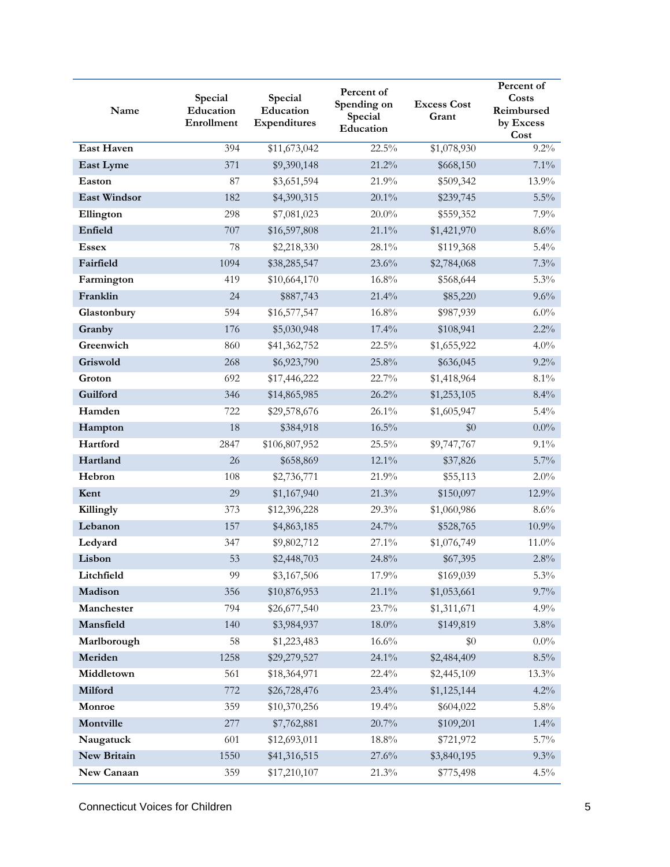| Name                | Special<br>Education<br>Enrollment | Special<br>Education<br>Expenditures | Percent of<br>Spending on<br>Special<br>Education | <b>Excess Cost</b><br>Grant | Percent of<br>Costs<br>Reimbursed<br>by Excess<br>Cost |
|---------------------|------------------------------------|--------------------------------------|---------------------------------------------------|-----------------------------|--------------------------------------------------------|
| <b>East Haven</b>   | 394                                | \$11,673,042                         | 22.5%                                             | \$1,078,930                 | $9.2\%$                                                |
| East Lyme           | 371                                | \$9,390,148                          | 21.2%                                             | \$668,150                   | 7.1%                                                   |
| Easton              | 87                                 | \$3,651,594                          | 21.9%                                             | \$509,342                   | 13.9%                                                  |
| <b>East Windsor</b> | 182                                | \$4,390,315                          | 20.1%                                             | \$239,745                   | $5.5\%$                                                |
| Ellington           | 298                                | \$7,081,023                          | $20.0\%$                                          | \$559,352                   | 7.9%                                                   |
| Enfield             | 707                                | \$16,597,808                         | 21.1%                                             | \$1,421,970                 | 8.6%                                                   |
| <b>Essex</b>        | 78                                 | \$2,218,330                          | 28.1%                                             | \$119,368                   | 5.4%                                                   |
| Fairfield           | 1094                               | \$38,285,547                         | 23.6%                                             | \$2,784,068                 | 7.3%                                                   |
| Farmington          | 419                                | \$10,664,170                         | 16.8%                                             | \$568,644                   | 5.3%                                                   |
| Franklin            | 24                                 | \$887,743                            | 21.4%                                             | \$85,220                    | 9.6%                                                   |
| Glastonbury         | 594                                | \$16,577,547                         | 16.8%                                             | \$987,939                   | 6.0%                                                   |
| Granby              | 176                                | \$5,030,948                          | 17.4%                                             | \$108,941                   | 2.2%                                                   |
| Greenwich           | 860                                | \$41,362,752                         | 22.5%                                             | \$1,655,922                 | 4.0%                                                   |
| Griswold            | 268                                | \$6,923,790                          | 25.8%                                             | \$636,045                   | $9.2\%$                                                |
| Groton              | 692                                | \$17,446,222                         | 22.7%                                             | \$1,418,964                 | $8.1\%$                                                |
| Guilford            | 346                                | \$14,865,985                         | 26.2%                                             | \$1,253,105                 | 8.4%                                                   |
| Hamden              | 722                                | \$29,578,676                         | 26.1%                                             | \$1,605,947                 | 5.4%                                                   |
| Hampton             | 18                                 | \$384,918                            | 16.5%                                             | \$0                         | $0.0\%$                                                |
| Hartford            | 2847                               | \$106,807,952                        | 25.5%                                             | \$9,747,767                 | 9.1%                                                   |
| Hartland            | 26                                 | \$658,869                            | 12.1%                                             | \$37,826                    | 5.7%                                                   |
| Hebron              | 108                                | \$2,736,771                          | 21.9%                                             | \$55,113                    | 2.0%                                                   |
| Kent                | 29                                 | \$1,167,940                          | 21.3%                                             | \$150,097                   | 12.9%                                                  |
| Killingly           | 373                                | \$12,396,228                         | 29.3%                                             | \$1,060,986                 | 8.6%                                                   |
| Lebanon             | 157                                | \$4,863,185                          | 24.7%                                             | \$528,765                   | 10.9%                                                  |
| Ledyard             | 347                                | \$9,802,712                          | 27.1%                                             | \$1,076,749                 | 11.0%                                                  |
| Lisbon              | 53                                 | \$2,448,703                          | 24.8%                                             | \$67,395                    | 2.8%                                                   |
| Litchfield          | 99                                 | \$3,167,506                          | 17.9%                                             | \$169,039                   | 5.3%                                                   |
| Madison             | 356                                | \$10,876,953                         | 21.1%                                             | \$1,053,661                 | $9.7\%$                                                |
| Manchester          | 794                                | \$26,677,540                         | 23.7%                                             | \$1,311,671                 | 4.9%                                                   |
| Mansfield           | 140                                | \$3,984,937                          | $18.0\%$                                          | \$149,819                   | 3.8%                                                   |
| Marlborough         | 58                                 | \$1,223,483                          | 16.6%                                             | \$0                         | $0.0\%$                                                |
| Meriden             | 1258                               | \$29,279,527                         | 24.1%                                             | \$2,484,409                 | $8.5\%$                                                |
| Middletown          | 561                                | \$18,364,971                         | 22.4%                                             | \$2,445,109                 | 13.3%                                                  |
| Milford             | 772                                | \$26,728,476                         | 23.4%                                             | \$1,125,144                 | 4.2%                                                   |
| Monroe              | 359                                | \$10,370,256                         | 19.4%                                             | \$604,022                   | 5.8%                                                   |
| Montville           | 277                                | \$7,762,881                          | 20.7%                                             | \$109,201                   | $1.4\%$                                                |
| Naugatuck           | 601                                | \$12,693,011                         | $18.8\%$                                          | \$721,972                   | $5.7\%$                                                |
| New Britain         | 1550                               | \$41,316,515                         | 27.6%                                             | \$3,840,195                 | $9.3\%$                                                |
| New Canaan          | 359                                | \$17,210,107                         | 21.3%                                             | \$775,498                   | 4.5%                                                   |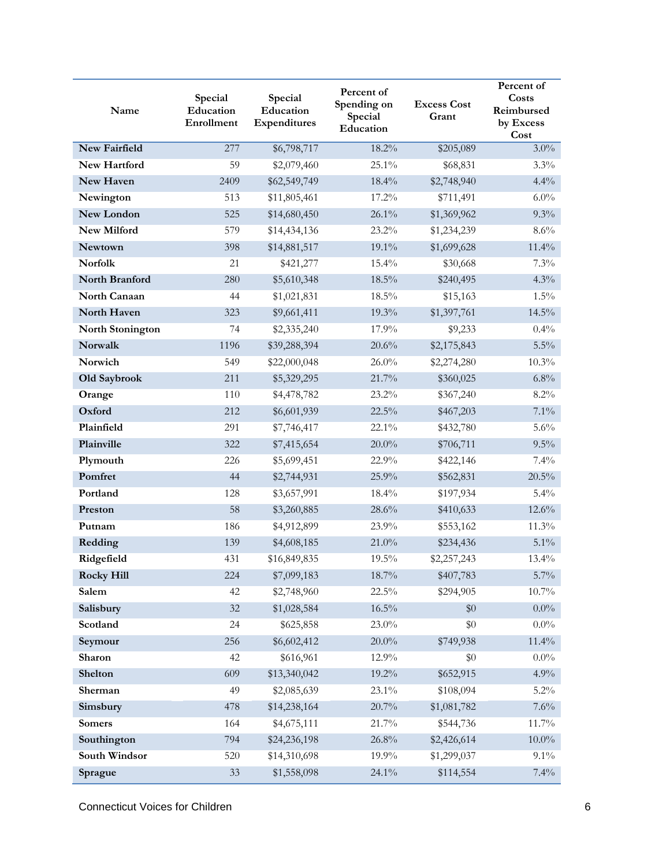| Name                 | Special<br>Education<br>Enrollment | Special<br>Education<br>Expenditures | Percent of<br>Spending on<br>Special<br>Education | <b>Excess Cost</b><br>Grant | Percent of<br>Costs<br>Reimbursed<br>by Excess<br>Cost |
|----------------------|------------------------------------|--------------------------------------|---------------------------------------------------|-----------------------------|--------------------------------------------------------|
| <b>New Fairfield</b> | 277                                | \$6,798,717                          | 18.2%                                             | \$205,089                   | $3.0\%$                                                |
| <b>New Hartford</b>  | 59                                 | \$2,079,460                          | 25.1%                                             | \$68,831                    | 3.3%                                                   |
| New Haven            | 2409                               | \$62,549,749                         | 18.4%                                             | \$2,748,940                 | 4.4%                                                   |
| Newington            | 513                                | \$11,805,461                         | 17.2%                                             | \$711,491                   | $6.0\%$                                                |
| New London           | 525                                | \$14,680,450                         | 26.1%                                             | \$1,369,962                 | 9.3%                                                   |
| New Milford          | 579                                | \$14,434,136                         | 23.2%                                             | \$1,234,239                 | 8.6%                                                   |
| Newtown              | 398                                | \$14,881,517                         | 19.1%                                             | \$1,699,628                 | 11.4%                                                  |
| <b>Norfolk</b>       | 21                                 | \$421,277                            | 15.4%                                             | \$30,668                    | 7.3%                                                   |
| North Branford       | 280                                | \$5,610,348                          | 18.5%                                             | \$240,495                   | 4.3%                                                   |
| North Canaan         | 44                                 | \$1,021,831                          | 18.5%                                             | \$15,163                    | 1.5%                                                   |
| North Haven          | 323                                | \$9,661,411                          | 19.3%                                             | \$1,397,761                 | 14.5%                                                  |
| North Stonington     | 74                                 | \$2,335,240                          | 17.9%                                             | \$9,233                     | 0.4%                                                   |
| Norwalk              | 1196                               | \$39,288,394                         | 20.6%                                             | \$2,175,843                 | $5.5\%$                                                |
| Norwich              | 549                                | \$22,000,048                         | $26.0\%$                                          | \$2,274,280                 | 10.3%                                                  |
| Old Saybrook         | 211                                | \$5,329,295                          | 21.7%                                             | \$360,025                   | 6.8%                                                   |
| Orange               | 110                                | \$4,478,782                          | 23.2%                                             | \$367,240                   | 8.2%                                                   |
| Oxford               | 212                                | \$6,601,939                          | 22.5%                                             | \$467,203                   | 7.1%                                                   |
| Plainfield           | 291                                | \$7,746,417                          | 22.1%                                             | \$432,780                   | 5.6%                                                   |
| Plainville           | 322                                | \$7,415,654                          | $20.0\%$                                          | \$706,711                   | 9.5%                                                   |
| Plymouth             | 226                                | \$5,699,451                          | 22.9%                                             | \$422,146                   | 7.4%                                                   |
| Pomfret              | 44                                 | \$2,744,931                          | 25.9%                                             | \$562,831                   | 20.5%                                                  |
| Portland             | 128                                | \$3,657,991                          | 18.4%                                             | \$197,934                   | 5.4%                                                   |
| Preston              | 58                                 | \$3,260,885                          | 28.6%                                             | \$410,633                   | 12.6%                                                  |
| Putnam               | 186                                | \$4,912,899                          | 23.9%                                             | \$553,162                   | 11.3%                                                  |
| Redding              | 139                                | \$4,608,185                          | 21.0%                                             | \$234,436                   | 5.1%                                                   |
| Ridgefield           | 431                                | \$16,849,835                         | 19.5%                                             | \$2,257,243                 | 13.4%                                                  |
| <b>Rocky Hill</b>    | 224                                | \$7,099,183                          | 18.7%                                             | \$407,783                   | $5.7\%$                                                |
| Salem                | 42                                 | \$2,748,960                          | 22.5%                                             | \$294,905                   | 10.7%                                                  |
| Salisbury            | 32                                 | \$1,028,584                          | $16.5\%$                                          | \$0                         | $0.0\%$                                                |
| Scotland             | 24                                 | \$625,858                            | 23.0%                                             | \$0                         | $0.0\%$                                                |
| Seymour              | 256                                | \$6,602,412                          | $20.0\%$                                          | \$749,938                   | 11.4%                                                  |
| Sharon               | 42                                 | \$616,961                            | 12.9%                                             | \$0                         | $0.0\%$                                                |
| Shelton              | 609                                | \$13,340,042                         | 19.2%                                             | \$652,915                   | 4.9%                                                   |
| Sherman              | 49                                 | \$2,085,639                          | $23.1\%$                                          | \$108,094                   | $5.2\%$                                                |
| Simsbury             | 478                                | \$14,238,164                         | 20.7%                                             | \$1,081,782                 | 7.6%                                                   |
| <b>Somers</b>        | 164                                | \$4,675,111                          | 21.7%                                             | \$544,736                   | 11.7%                                                  |
| Southington          | 794                                | \$24,236,198                         | $26.8\%$                                          | \$2,426,614                 | $10.0\%$                                               |
| South Windsor        | 520                                | \$14,310,698                         | 19.9%                                             | \$1,299,037                 | $9.1\%$                                                |
| Sprague              | 33                                 | \$1,558,098                          | 24.1%                                             | \$114,554                   | 7.4%                                                   |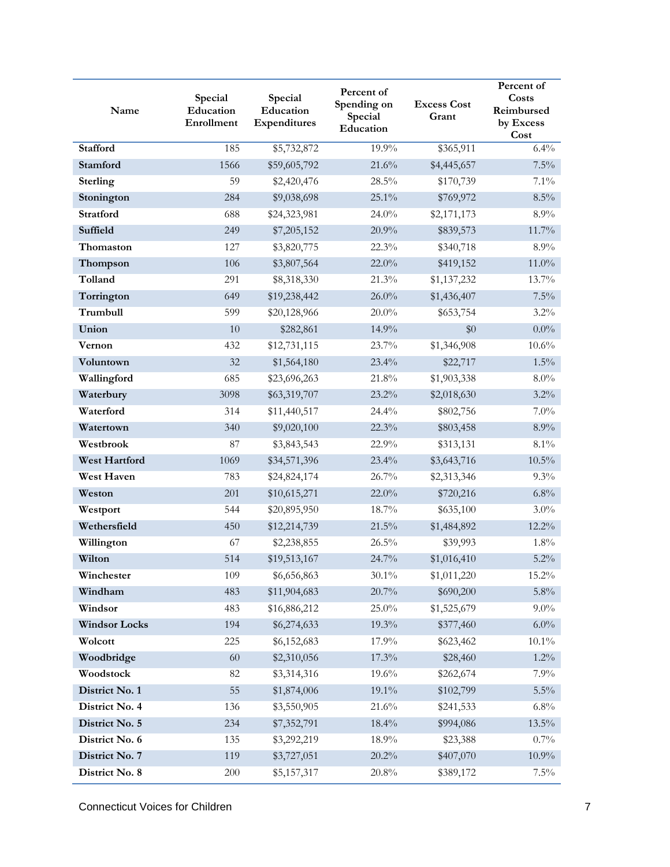| Name                 | Special<br>Education<br>Enrollment | Special<br>Education<br>Expenditures | Percent of<br>Spending on<br>Special<br>Education | <b>Excess Cost</b><br>Grant | Percent of<br>Costs<br>Reimbursed<br>by Excess<br>Cost |
|----------------------|------------------------------------|--------------------------------------|---------------------------------------------------|-----------------------------|--------------------------------------------------------|
| <b>Stafford</b>      | 185                                | \$5,732,872                          | 19.9%                                             | \$365,911                   | 6.4%                                                   |
| Stamford             | 1566                               | \$59,605,792                         | 21.6%                                             | \$4,445,657                 | 7.5%                                                   |
| Sterling             | 59                                 | \$2,420,476                          | 28.5%                                             | \$170,739                   | 7.1%                                                   |
| Stonington           | 284                                | \$9,038,698                          | 25.1%                                             | \$769,972                   | $8.5\%$                                                |
| Stratford            | 688                                | \$24,323,981                         | 24.0%                                             | \$2,171,173                 | 8.9%                                                   |
| Suffield             | 249                                | \$7,205,152                          | 20.9%                                             | \$839,573                   | 11.7%                                                  |
| Thomaston            | 127                                | \$3,820,775                          | 22.3%                                             | \$340,718                   | 8.9%                                                   |
| Thompson             | 106                                | \$3,807,564                          | 22.0%                                             | \$419,152                   | 11.0%                                                  |
| Tolland              | 291                                | \$8,318,330                          | 21.3%                                             | \$1,137,232                 | 13.7%                                                  |
| Torrington           | 649                                | \$19,238,442                         | $26.0\%$                                          | \$1,436,407                 | 7.5%                                                   |
| Trumbull             | 599                                | \$20,128,966                         | $20.0\%$                                          | \$653,754                   | 3.2%                                                   |
| Union                | 10                                 | \$282,861                            | 14.9%                                             | \$0                         | $0.0\%$                                                |
| Vernon               | 432                                | \$12,731,115                         | 23.7%                                             | \$1,346,908                 | 10.6%                                                  |
| Voluntown            | 32                                 | \$1,564,180                          | 23.4%                                             | \$22,717                    | $1.5\%$                                                |
| Wallingford          | 685                                | \$23,696,263                         | 21.8%                                             | \$1,903,338                 | $8.0\%$                                                |
| Waterbury            | 3098                               | \$63,319,707                         | 23.2%                                             | \$2,018,630                 | 3.2%                                                   |
| Waterford            | 314                                | \$11,440,517                         | 24.4%                                             | \$802,756                   | $7.0\%$                                                |
| Watertown            | 340                                | \$9,020,100                          | 22.3%                                             | \$803,458                   | 8.9%                                                   |
| Westbrook            | 87                                 | \$3,843,543                          | 22.9%                                             | \$313,131                   | 8.1%                                                   |
| West Hartford        | 1069                               | \$34,571,396                         | 23.4%                                             | \$3,643,716                 | $10.5\%$                                               |
| <b>West Haven</b>    | 783                                | \$24,824,174                         | 26.7%                                             | \$2,313,346                 | 9.3%                                                   |
| Weston               | 201                                | \$10,615,271                         | 22.0%                                             | \$720,216                   | 6.8%                                                   |
| Westport             | 544                                | \$20,895,950                         | 18.7%                                             | \$635,100                   | $3.0\%$                                                |
| Wethersfield         | 450                                | \$12,214,739                         | 21.5%                                             | \$1,484,892                 | 12.2%                                                  |
| Willington           | 67                                 | \$2,238,855                          | 26.5%                                             | \$39,993                    | 1.8%                                                   |
| Wilton               | 514                                | \$19,513,167                         | 24.7%                                             | \$1,016,410                 | 5.2%                                                   |
| Winchester           | 109                                | \$6,656,863                          | $30.1\%$                                          | \$1,011,220                 | $15.2\%$                                               |
| Windham              | 483                                | \$11,904,683                         | 20.7%                                             | \$690,200                   | 5.8%                                                   |
| Windsor              | 483                                | \$16,886,212                         | $25.0\%$                                          | \$1,525,679                 | $9.0\%$                                                |
| <b>Windsor Locks</b> | 194                                | \$6,274,633                          | 19.3%                                             | \$377,460                   | $6.0\%$                                                |
| Wolcott              | 225                                | \$6,152,683                          | 17.9%                                             | \$623,462                   | $10.1\%$                                               |
| Woodbridge           | 60                                 | \$2,310,056                          | 17.3%                                             | \$28,460                    | $1.2\%$                                                |
| Woodstock            | 82                                 | \$3,314,316                          | 19.6%                                             | \$262,674                   | 7.9%                                                   |
| District No. 1       | 55                                 | \$1,874,006                          | 19.1%                                             | \$102,799                   | $5.5\%$                                                |
| District No. 4       | 136                                | \$3,550,905                          | 21.6%                                             | \$241,533                   | $6.8\%$                                                |
| District No. 5       | 234                                | \$7,352,791                          | 18.4%                                             | \$994,086                   | 13.5%                                                  |
| District No. 6       | 135                                | \$3,292,219                          | 18.9%                                             | \$23,388                    | $0.7\%$                                                |
| District No. 7       | 119                                | \$3,727,051                          | 20.2%                                             | \$407,070                   | $10.9\%$                                               |
| District No. 8       | 200                                | \$5,157,317                          | $20.8\%$                                          | \$389,172                   | $7.5\%$                                                |